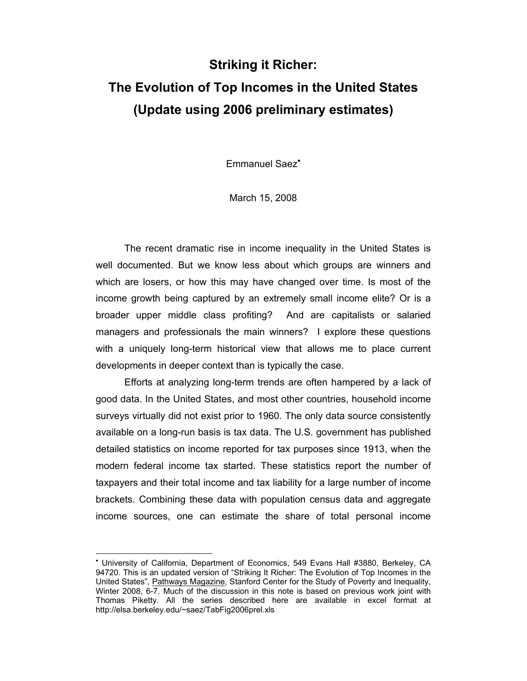# **Striking it Richer: The Evolution of Top Incomes in the United States (Update using 2006 preliminary estimates)**

Emmanuel Saez•

March 15, 2008

The recent dramatic rise in income inequality in the United States is well documented. But we know less about which groups are winners and which are losers, or how this may have changed over time. Is most of the income growth being captured by an extremely small income elite? Or is a broader upper middle class profiting? And are capitalists or salaried managers and professionals the main winners? I explore these questions with a uniquely long-term historical view that allows me to place current developments in deeper context than is typically the case.

Efforts at analyzing long-term trends are often hampered by a lack of good data. In the United States, and most other countries, household income surveys virtually did not exist prior to 1960. The only data source consistently available on a long-run basis is tax data. The U.S. government has published detailed statistics on income reported for tax purposes since 1913, when the modern federal income tax started. These statistics report the number of taxpayers and their total income and tax liability for a large number of income brackets. Combining these data with population census data and aggregate income sources, one can estimate the share of total personal income

-

<sup>•</sup> University of California, Department of Economics, 549 Evans Hall #3880, Berkeley, CA 94720. This is an updated version of "Striking It Richer: The Evolution of Top Incomes in the United States", Pathways Magazine, Stanford Center for the Study of Poverty and Inequality, Winter 2008, 6-7. Much of the discussion in this note is based on previous work joint with Thomas Piketty. All the series described here are available in excel format at http://elsa.berkeley.edu/~saez/TabFig2006prel.xls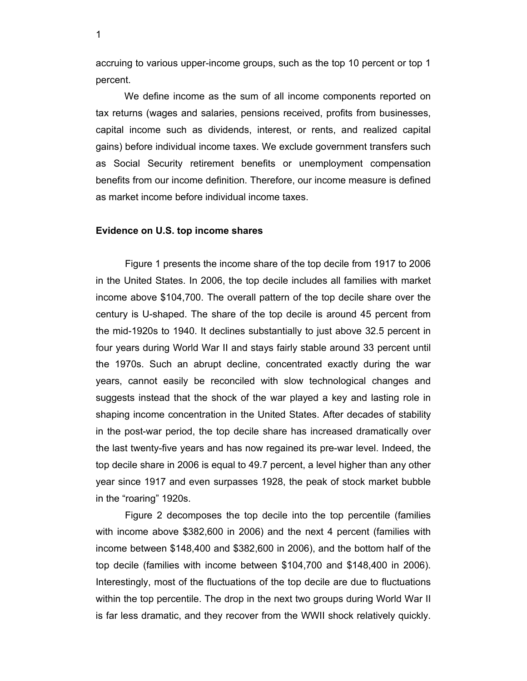accruing to various upper-income groups, such as the top 10 percent or top 1 percent.

We define income as the sum of all income components reported on tax returns (wages and salaries, pensions received, profits from businesses, capital income such as dividends, interest, or rents, and realized capital gains) before individual income taxes. We exclude government transfers such as Social Security retirement benefits or unemployment compensation benefits from our income definition. Therefore, our income measure is defined as market income before individual income taxes.

#### **Evidence on U.S. top income shares**

Figure 1 presents the income share of the top decile from 1917 to 2006 in the United States. In 2006, the top decile includes all families with market income above \$104,700. The overall pattern of the top decile share over the century is U-shaped. The share of the top decile is around 45 percent from the mid-1920s to 1940. It declines substantially to just above 32.5 percent in four years during World War II and stays fairly stable around 33 percent until the 1970s. Such an abrupt decline, concentrated exactly during the war years, cannot easily be reconciled with slow technological changes and suggests instead that the shock of the war played a key and lasting role in shaping income concentration in the United States. After decades of stability in the post-war period, the top decile share has increased dramatically over the last twenty-five years and has now regained its pre-war level. Indeed, the top decile share in 2006 is equal to 49.7 percent, a level higher than any other year since 1917 and even surpasses 1928, the peak of stock market bubble in the "roaring" 1920s.

Figure 2 decomposes the top decile into the top percentile (families with income above \$382,600 in 2006) and the next 4 percent (families with income between \$148,400 and \$382,600 in 2006), and the bottom half of the top decile (families with income between \$104,700 and \$148,400 in 2006). Interestingly, most of the fluctuations of the top decile are due to fluctuations within the top percentile. The drop in the next two groups during World War II is far less dramatic, and they recover from the WWII shock relatively quickly.

1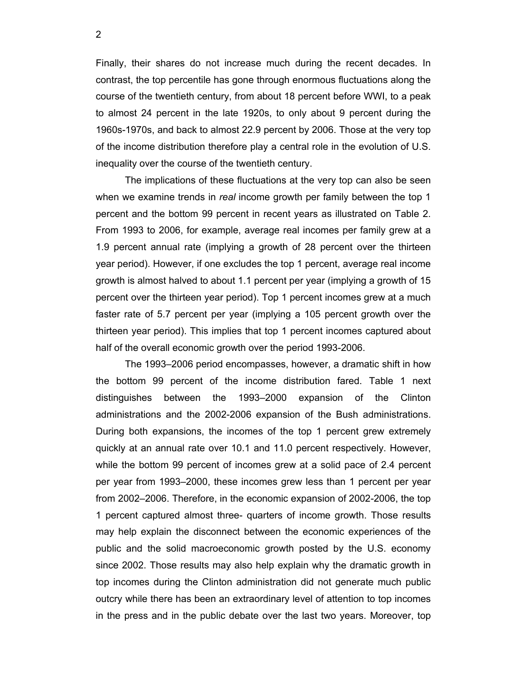Finally, their shares do not increase much during the recent decades. In contrast, the top percentile has gone through enormous fluctuations along the course of the twentieth century, from about 18 percent before WWI, to a peak to almost 24 percent in the late 1920s, to only about 9 percent during the 1960s-1970s, and back to almost 22.9 percent by 2006. Those at the very top of the income distribution therefore play a central role in the evolution of U.S. inequality over the course of the twentieth century.

The implications of these fluctuations at the very top can also be seen when we examine trends in *real* income growth per family between the top 1 percent and the bottom 99 percent in recent years as illustrated on Table 2. From 1993 to 2006, for example, average real incomes per family grew at a 1.9 percent annual rate (implying a growth of 28 percent over the thirteen year period). However, if one excludes the top 1 percent, average real income growth is almost halved to about 1.1 percent per year (implying a growth of 15 percent over the thirteen year period). Top 1 percent incomes grew at a much faster rate of 5.7 percent per year (implying a 105 percent growth over the thirteen year period). This implies that top 1 percent incomes captured about half of the overall economic growth over the period 1993-2006.

The 1993–2006 period encompasses, however, a dramatic shift in how the bottom 99 percent of the income distribution fared. Table 1 next distinguishes between the 1993–2000 expansion of the Clinton administrations and the 2002-2006 expansion of the Bush administrations. During both expansions, the incomes of the top 1 percent grew extremely quickly at an annual rate over 10.1 and 11.0 percent respectively. However, while the bottom 99 percent of incomes grew at a solid pace of 2.4 percent per year from 1993–2000, these incomes grew less than 1 percent per year from 2002–2006. Therefore, in the economic expansion of 2002-2006, the top 1 percent captured almost three- quarters of income growth. Those results may help explain the disconnect between the economic experiences of the public and the solid macroeconomic growth posted by the U.S. economy since 2002. Those results may also help explain why the dramatic growth in top incomes during the Clinton administration did not generate much public outcry while there has been an extraordinary level of attention to top incomes in the press and in the public debate over the last two years. Moreover, top

2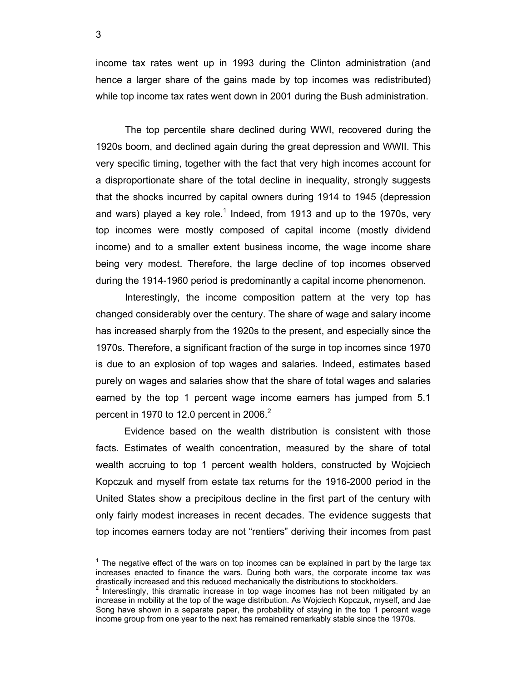income tax rates went up in 1993 during the Clinton administration (and hence a larger share of the gains made by top incomes was redistributed) while top income tax rates went down in 2001 during the Bush administration.

The top percentile share declined during WWI, recovered during the 1920s boom, and declined again during the great depression and WWII. This very specific timing, together with the fact that very high incomes account for a disproportionate share of the total decline in inequality, strongly suggests that the shocks incurred by capital owners during 1914 to 1945 (depression and wars) played a key role.<sup>1</sup> Indeed, from 1913 and up to the 1970s, very top incomes were mostly composed of capital income (mostly dividend income) and to a smaller extent business income, the wage income share being very modest. Therefore, the large decline of top incomes observed during the 1914-1960 period is predominantly a capital income phenomenon.

Interestingly, the income composition pattern at the very top has changed considerably over the century. The share of wage and salary income has increased sharply from the 1920s to the present, and especially since the 1970s. Therefore, a significant fraction of the surge in top incomes since 1970 is due to an explosion of top wages and salaries. Indeed, estimates based purely on wages and salaries show that the share of total wages and salaries earned by the top 1 percent wage income earners has jumped from 5.1 percent in 1970 to 12.0 percent in 2006. $2$ 

 Evidence based on the wealth distribution is consistent with those facts. Estimates of wealth concentration, measured by the share of total wealth accruing to top 1 percent wealth holders, constructed by Wojciech Kopczuk and myself from estate tax returns for the 1916-2000 period in the United States show a precipitous decline in the first part of the century with only fairly modest increases in recent decades. The evidence suggests that top incomes earners today are not "rentiers" deriving their incomes from past

3

-

 $1$  The negative effect of the wars on top incomes can be explained in part by the large tax increases enacted to finance the wars. During both wars, the corporate income tax was drastically increased and this reduced mechanically the distributions to stockholders.

 $2$  Interestingly, this dramatic increase in top wage incomes has not been mitigated by an increase in mobility at the top of the wage distribution. As Wojciech Kopczuk, myself, and Jae Song have shown in a separate paper, the probability of staying in the top 1 percent wage income group from one year to the next has remained remarkably stable since the 1970s.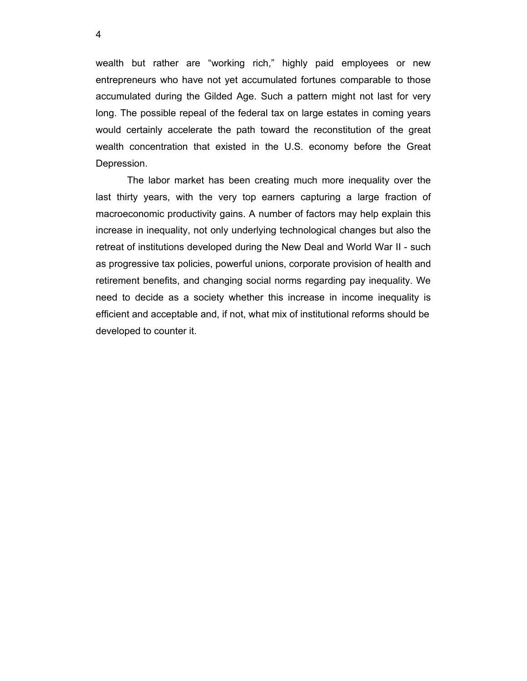wealth but rather are "working rich," highly paid employees or new entrepreneurs who have not yet accumulated fortunes comparable to those accumulated during the Gilded Age. Such a pattern might not last for very long. The possible repeal of the federal tax on large estates in coming years would certainly accelerate the path toward the reconstitution of the great wealth concentration that existed in the U.S. economy before the Great Depression.

 The labor market has been creating much more inequality over the last thirty years, with the very top earners capturing a large fraction of macroeconomic productivity gains. A number of factors may help explain this increase in inequality, not only underlying technological changes but also the retreat of institutions developed during the New Deal and World War II - such as progressive tax policies, powerful unions, corporate provision of health and retirement benefits, and changing social norms regarding pay inequality. We need to decide as a society whether this increase in income inequality is efficient and acceptable and, if not, what mix of institutional reforms should be developed to counter it.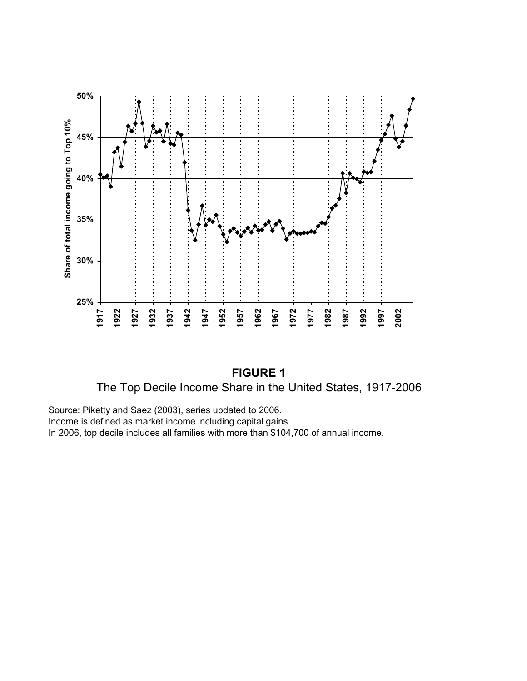



Source: Piketty and Saez (2003), series updated to 2006. Income is defined as market income including capital gains. In 2006, top decile includes all families with more than \$104,700 of annual income.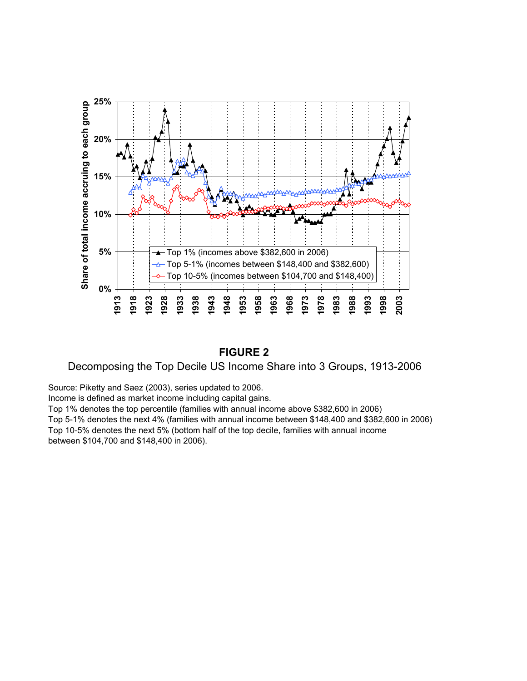

### **FIGURE 2**

### Decomposing the Top Decile US Income Share into 3 Groups, 1913-2006

Source: Piketty and Saez (2003), series updated to 2006.

Income is defined as market income including capital gains.

Top 1% denotes the top percentile (families with annual income above \$382,600 in 2006) Top 5-1% denotes the next 4% (families with annual income between \$148,400 and \$382,600 in 2006) Top 10-5% denotes the next 5% (bottom half of the top decile, families with annual income between \$104,700 and \$148,400 in 2006).